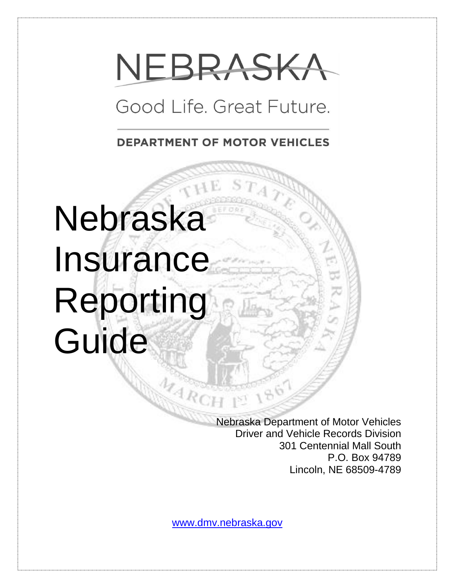# NEBRASKA

# Good Life, Great Future.

**DEPARTMENT OF MOTOR VEHICLES** 

# Nebraska **Insurance** Reporting Guide

Nebraska Department of Motor Vehicles Driver and Vehicle Records Division 301 Centennial Mall South P.O. Box 94789 Lincoln, NE 68509-4789

[www.dmv.nebraska.gov](http://www.dmv.nebraska.gov/)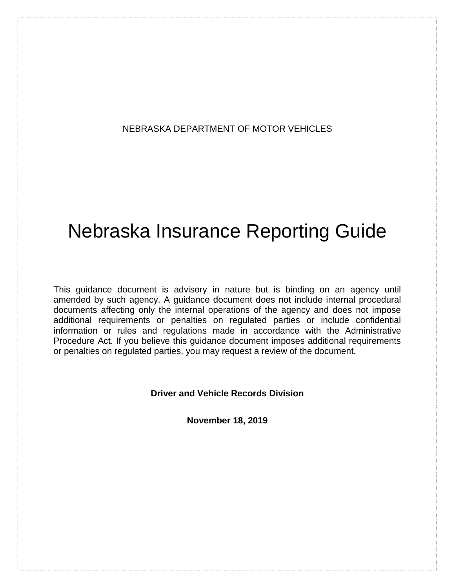#### NEBRASKA DEPARTMENT OF MOTOR VEHICLES

# Nebraska Insurance Reporting Guide

This guidance document is advisory in nature but is binding on an agency until amended by such agency. A guidance document does not include internal procedural documents affecting only the internal operations of the agency and does not impose additional requirements or penalties on regulated parties or include confidential information or rules and regulations made in accordance with the Administrative Procedure Act. If you believe this guidance document imposes additional requirements or penalties on regulated parties, you may request a review of the document.

**Driver and Vehicle Records Division**

**November 18, 2019**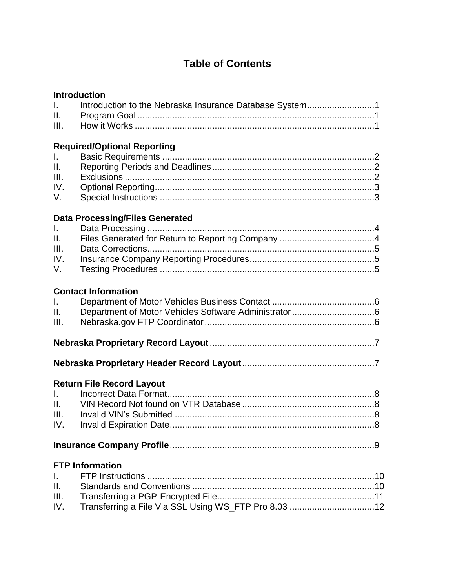# **Table of Contents**

| $\mathbf{L}$ | Introduction to the Nebraska Insurance Database System1 |  |
|--------------|---------------------------------------------------------|--|
|              |                                                         |  |
|              |                                                         |  |

## **Required/Optional Reporting**

#### **Data Processing/Files Generated**

#### **Contact Information**

| II. – 1 |  |
|---------|--|
| I.      |  |

## **Nebraska Proprietary Header Record Layout**.....................................................7

### **Return File Record Layout**

#### **FTP Information**

| IV. Transferring a File Via SSL Using WS_FTP Pro 8.03 12 |  |
|----------------------------------------------------------|--|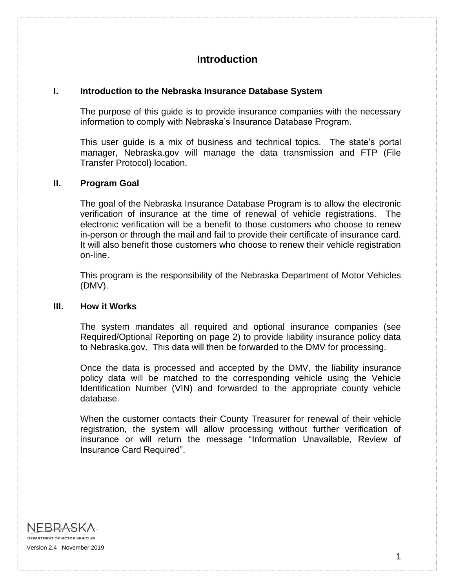# **Introduction**

#### **I. Introduction to the Nebraska Insurance Database System**

The purpose of this guide is to provide insurance companies with the necessary information to comply with Nebraska's Insurance Database Program.

This user guide is a mix of business and technical topics. The state's portal manager, Nebraska.gov will manage the data transmission and FTP (File Transfer Protocol) location.

#### **II. Program Goal**

The goal of the Nebraska Insurance Database Program is to allow the electronic verification of insurance at the time of renewal of vehicle registrations. The electronic verification will be a benefit to those customers who choose to renew in-person or through the mail and fail to provide their certificate of insurance card. It will also benefit those customers who choose to renew their vehicle registration on-line.

This program is the responsibility of the Nebraska Department of Motor Vehicles (DMV).

#### **III. How it Works**

The system mandates all required and optional insurance companies (see Required/Optional Reporting on page 2) to provide liability insurance policy data to Nebraska.gov. This data will then be forwarded to the DMV for processing.

Once the data is processed and accepted by the DMV, the liability insurance policy data will be matched to the corresponding vehicle using the Vehicle Identification Number (VIN) and forwarded to the appropriate county vehicle database.

When the customer contacts their County Treasurer for renewal of their vehicle registration, the system will allow processing without further verification of insurance or will return the message "Information Unavailable, Review of Insurance Card Required".

NEBRASKA DEPARTMENT OF MOTOR VEHICLES Version 2.4 November 2019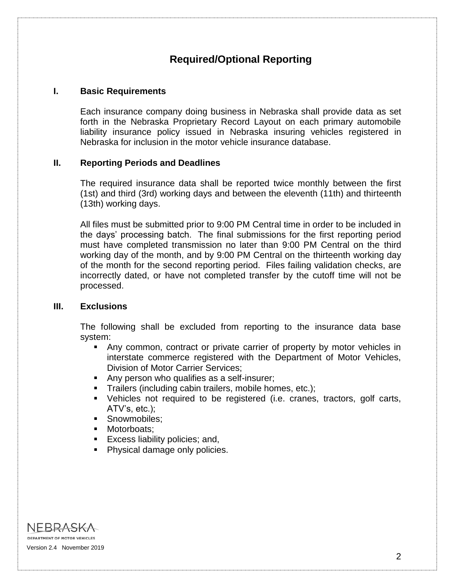# **Required/Optional Reporting**

#### **I. Basic Requirements**

Each insurance company doing business in Nebraska shall provide data as set forth in the Nebraska Proprietary Record Layout on each primary automobile liability insurance policy issued in Nebraska insuring vehicles registered in Nebraska for inclusion in the motor vehicle insurance database.

#### **II. Reporting Periods and Deadlines**

The required insurance data shall be reported twice monthly between the first (1st) and third (3rd) working days and between the eleventh (11th) and thirteenth (13th) working days.

All files must be submitted prior to 9:00 PM Central time in order to be included in the days' processing batch. The final submissions for the first reporting period must have completed transmission no later than 9:00 PM Central on the third working day of the month, and by 9:00 PM Central on the thirteenth working day of the month for the second reporting period. Files failing validation checks, are incorrectly dated, or have not completed transfer by the cutoff time will not be processed.

#### **III. Exclusions**

The following shall be excluded from reporting to the insurance data base system:

- Any common, contract or private carrier of property by motor vehicles in interstate commerce registered with the Department of Motor Vehicles, Division of Motor Carrier Services;
- Any person who qualifies as a self-insurer;
- Trailers (including cabin trailers, mobile homes, etc.);
- Vehicles not required to be registered (i.e. cranes, tractors, golf carts, ATV's, etc.);
- **Snowmobiles:**
- Motorboats:
- **Excess liability policies; and,**
- Physical damage only policies.

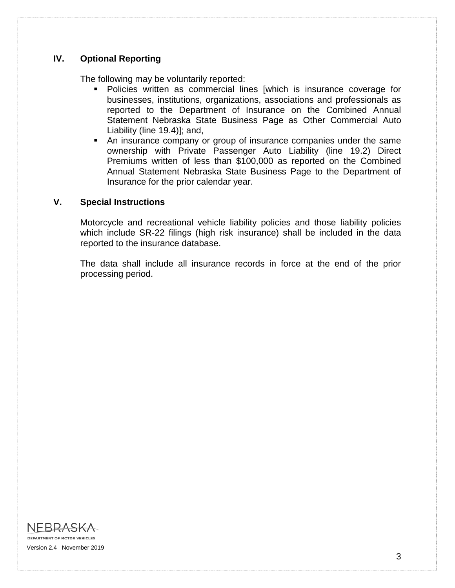#### **IV. Optional Reporting**

The following may be voluntarily reported:

- Policies written as commercial lines [which is insurance coverage for businesses, institutions, organizations, associations and professionals as reported to the Department of Insurance on the Combined Annual Statement Nebraska State Business Page as Other Commercial Auto Liability (line 19.4)]; and,
- An insurance company or group of insurance companies under the same ownership with Private Passenger Auto Liability (line 19.2) Direct Premiums written of less than \$100,000 as reported on the Combined Annual Statement Nebraska State Business Page to the Department of Insurance for the prior calendar year.

#### **V. Special Instructions**

Motorcycle and recreational vehicle liability policies and those liability policies which include SR-22 filings (high risk insurance) shall be included in the data reported to the insurance database.

The data shall include all insurance records in force at the end of the prior processing period.

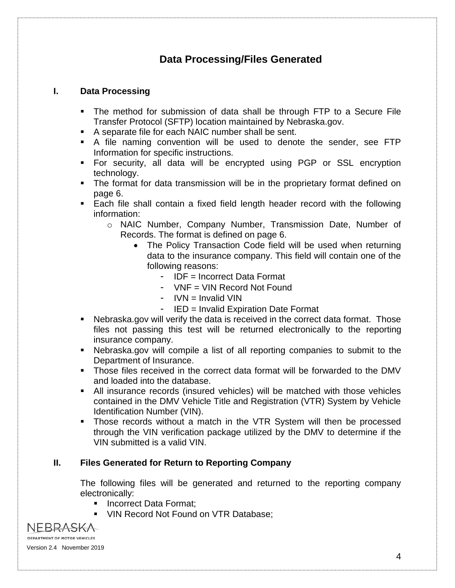# **Data Processing/Files Generated**

#### **I. Data Processing**

- The method for submission of data shall be through FTP to a Secure File Transfer Protocol (SFTP) location maintained by Nebraska.gov.
- A separate file for each NAIC number shall be sent.
- A file naming convention will be used to denote the sender, see FTP Information for specific instructions.
- For security, all data will be encrypted using PGP or SSL encryption technology.
- **The format for data transmission will be in the proprietary format defined on** page 6.
- **Each file shall contain a fixed field length header record with the following** information:
	- o NAIC Number, Company Number, Transmission Date, Number of Records. The format is defined on page 6.
		- The Policy Transaction Code field will be used when returning data to the insurance company. This field will contain one of the following reasons:
			- IDF = Incorrect Data Format
			- VNF = VIN Record Not Found
			- $-$  IVN  $=$  Invalid VIN
			- IED = Invalid Expiration Date Format
- Nebraska.gov will verify the data is received in the correct data format. Those files not passing this test will be returned electronically to the reporting insurance company.
- Nebraska.gov will compile a list of all reporting companies to submit to the Department of Insurance.
- Those files received in the correct data format will be forwarded to the DMV and loaded into the database.
- All insurance records (insured vehicles) will be matched with those vehicles contained in the DMV Vehicle Title and Registration (VTR) System by Vehicle Identification Number (VIN).
- Those records without a match in the VTR System will then be processed through the VIN verification package utilized by the DMV to determine if the VIN submitted is a valid VIN.

#### **II. Files Generated for Return to Reporting Company**

The following files will be generated and returned to the reporting company electronically:

- Incorrect Data Format:
- **VIN Record Not Found on VTR Database;**

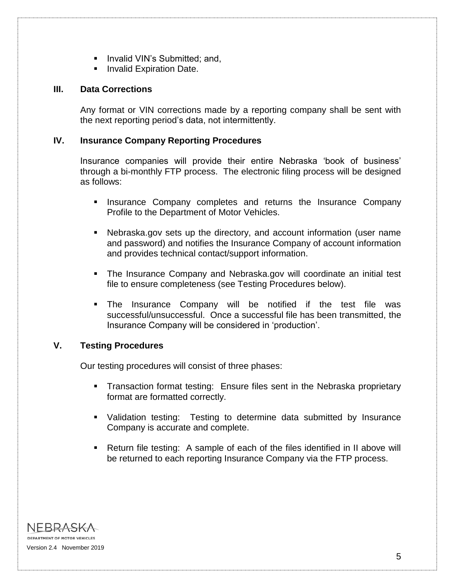- **Invalid VIN's Submitted; and,**
- **Invalid Expiration Date.**

#### **III. Data Corrections**

Any format or VIN corrections made by a reporting company shall be sent with the next reporting period's data, not intermittently.

#### **IV. Insurance Company Reporting Procedures**

Insurance companies will provide their entire Nebraska 'book of business' through a bi-monthly FTP process. The electronic filing process will be designed as follows:

- Insurance Company completes and returns the Insurance Company Profile to the Department of Motor Vehicles.
- Nebraska.gov sets up the directory, and account information (user name and password) and notifies the Insurance Company of account information and provides technical contact/support information.
- The Insurance Company and Nebraska.gov will coordinate an initial test file to ensure completeness (see Testing Procedures below).
- The Insurance Company will be notified if the test file was successful/unsuccessful. Once a successful file has been transmitted, the Insurance Company will be considered in 'production'.

#### **V. Testing Procedures**

Our testing procedures will consist of three phases:

- **Transaction format testing: Ensure files sent in the Nebraska proprietary** format are formatted correctly.
- Validation testing: Testing to determine data submitted by Insurance Company is accurate and complete.
- Return file testing: A sample of each of the files identified in II above will be returned to each reporting Insurance Company via the FTP process.

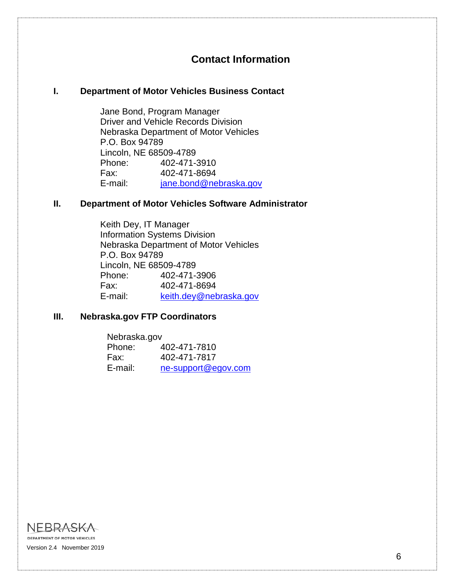# **Contact Information**

#### **I. Department of Motor Vehicles Business Contact**

Jane Bond, Program Manager Driver and Vehicle Records Division Nebraska Department of Motor Vehicles P.O. Box 94789 Lincoln, NE 68509-4789 Phone: 402-471-3910 Fax: 402-471-8694 E-mail: [jane.bond@nebraska.gov](mailto:jane.bond@nebraska.gov)

#### **II. Department of Motor Vehicles Software Administrator**

Keith Dey, IT Manager Information Systems Division Nebraska Department of Motor Vehicles P.O. Box 94789 Lincoln, NE 68509-4789 Phone: 402-471-3906 Fax: 402-471-8694 E-mail: [keith.dey@nebraska.gov](mailto:keith.dey@nebraska.gov)

#### **III. Nebraska.gov FTP Coordinators**

| Nebraska.gov |                     |  |  |  |  |
|--------------|---------------------|--|--|--|--|
| Phone:       | 402-471-7810        |  |  |  |  |
| Fax:         | 402-471-7817        |  |  |  |  |
| E-mail:      | ne-support@egov.com |  |  |  |  |

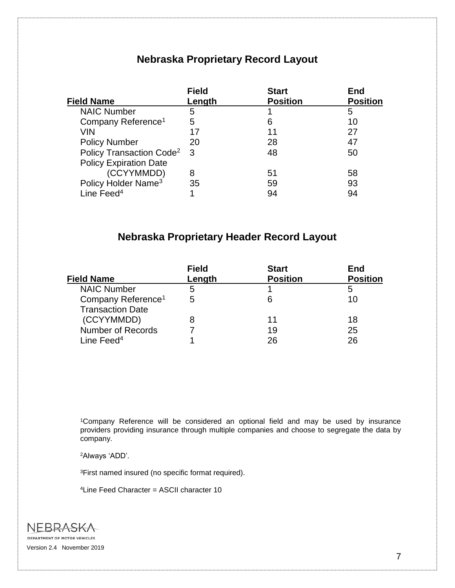# **Nebraska Proprietary Record Layout**

|                                      | <b>Field</b> | <b>Start</b>    | End             |
|--------------------------------------|--------------|-----------------|-----------------|
| <b>Field Name</b>                    | Length       | <b>Position</b> | <b>Position</b> |
| <b>NAIC Number</b>                   | 5            |                 | 5               |
| Company Reference <sup>1</sup>       | 5            | 6               | 10              |
| VIN                                  | 17           | 11              | 27              |
| <b>Policy Number</b>                 | 20           | 28              | 47              |
| Policy Transaction Code <sup>2</sup> | 3            | 48              | 50              |
| <b>Policy Expiration Date</b>        |              |                 |                 |
| (CCYYMMDD)                           | 8            | 51              | 58              |
| Policy Holder Name <sup>3</sup>      | 35           | 59              | 93              |
| Line Feed <sup>4</sup>               |              | 94              | 94              |

# **Nebraska Proprietary Header Record Layout**

| <b>Field</b> | <b>Start</b>    | End             |
|--------------|-----------------|-----------------|
| Length       | <b>Position</b> | <b>Position</b> |
| b            |                 | 5               |
| 5            | 6               | 10              |
|              |                 |                 |
|              | 11              | 18              |
|              | 19              | 25              |
|              | 26              | 26              |
|              |                 |                 |

<sup>1</sup>Company Reference will be considered an optional field and may be used by insurance providers providing insurance through multiple companies and choose to segregate the data by company.

<sup>2</sup>Always 'ADD'.

<sup>3</sup>First named insured (no specific format required).

4Line Feed Character = ASCII character 10

**NEBRASKA DEPARTMENT OF MOTOR VEHICLES** Version 2.4 November 2019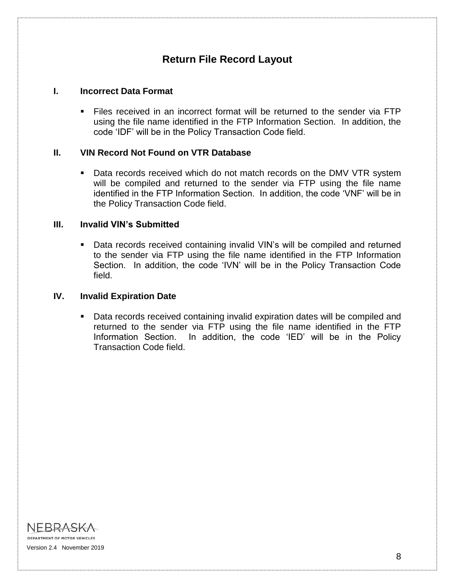# **Return File Record Layout**

#### **I. Incorrect Data Format**

 Files received in an incorrect format will be returned to the sender via FTP using the file name identified in the FTP Information Section. In addition, the code 'IDF' will be in the Policy Transaction Code field.

#### **II. VIN Record Not Found on VTR Database**

**Data records received which do not match records on the DMV VTR system** will be compiled and returned to the sender via FTP using the file name identified in the FTP Information Section. In addition, the code 'VNF' will be in the Policy Transaction Code field.

#### **III. Invalid VIN's Submitted**

 Data records received containing invalid VIN's will be compiled and returned to the sender via FTP using the file name identified in the FTP Information Section. In addition, the code 'IVN' will be in the Policy Transaction Code field.

#### **IV. Invalid Expiration Date**

 Data records received containing invalid expiration dates will be compiled and returned to the sender via FTP using the file name identified in the FTP Information Section. In addition, the code 'IED' will be in the Policy Transaction Code field.

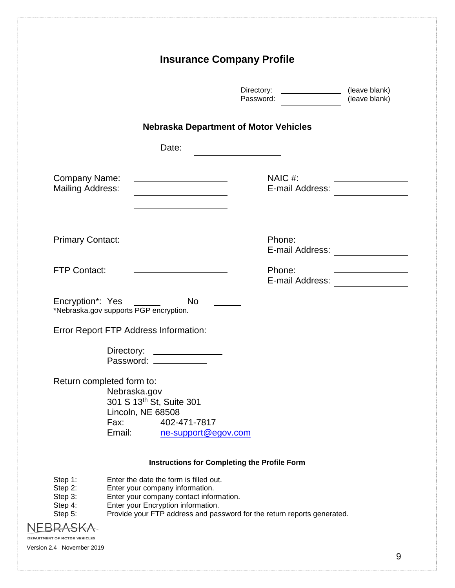|                                                                   |                                                                                 | <b>Insurance Company Profile</b>                                                                                                                                                                                                      |                                                  |                                                    |
|-------------------------------------------------------------------|---------------------------------------------------------------------------------|---------------------------------------------------------------------------------------------------------------------------------------------------------------------------------------------------------------------------------------|--------------------------------------------------|----------------------------------------------------|
|                                                                   |                                                                                 |                                                                                                                                                                                                                                       | (leave blank)<br>Directory:<br>Password:         | (leave blank)                                      |
|                                                                   |                                                                                 | <b>Nebraska Department of Motor Vehicles</b>                                                                                                                                                                                          |                                                  |                                                    |
|                                                                   |                                                                                 | Date:                                                                                                                                                                                                                                 |                                                  |                                                    |
| Company Name:<br><b>Mailing Address:</b>                          |                                                                                 | the control of the control of the control of the control of                                                                                                                                                                           | NAIC#:<br>E-mail Address:                        |                                                    |
| <b>Primary Contact:</b>                                           |                                                                                 | the control of the control of the control of the control of the control of                                                                                                                                                            | Phone:<br>E-mail Address: <b>E-mail Address:</b> |                                                    |
| <b>FTP Contact:</b>                                               |                                                                                 | the control of the control of the control of the control of                                                                                                                                                                           | Phone:<br>E-mail Address: <u>____________</u>    | <u> 1989 - Johann Barn, amerikansk politiker (</u> |
| Encryption*: Yes ______<br>*Nebraska.gov supports PGP encryption. |                                                                                 | <b>No</b>                                                                                                                                                                                                                             |                                                  |                                                    |
| Error Report FTP Address Information:                             |                                                                                 |                                                                                                                                                                                                                                       |                                                  |                                                    |
|                                                                   | Directory:<br>Password: ________                                                | <u> 1990 - Johann Stein, mars an de Brandenburg (</u>                                                                                                                                                                                 |                                                  |                                                    |
| Return completed form to:                                         | Nebraska.gov<br>301 S 13th St, Suite 301<br>Lincoln, NE 68508<br>Fax:<br>Email: | 402-471-7817<br>ne-support@egov.com                                                                                                                                                                                                   |                                                  |                                                    |
|                                                                   |                                                                                 | <b>Instructions for Completing the Profile Form</b>                                                                                                                                                                                   |                                                  |                                                    |
| Step 1:<br>Step 2:<br>Step 3:<br>Step 4:<br>Step 5:               |                                                                                 | Enter the date the form is filled out.<br>Enter your company information.<br>Enter your company contact information.<br>Enter your Encryption information.<br>Provide your FTP address and password for the return reports generated. |                                                  |                                                    |
| DEPARTMENT OF MOTOR VEHICLES<br>Version 2.4 November 2019         |                                                                                 |                                                                                                                                                                                                                                       |                                                  |                                                    |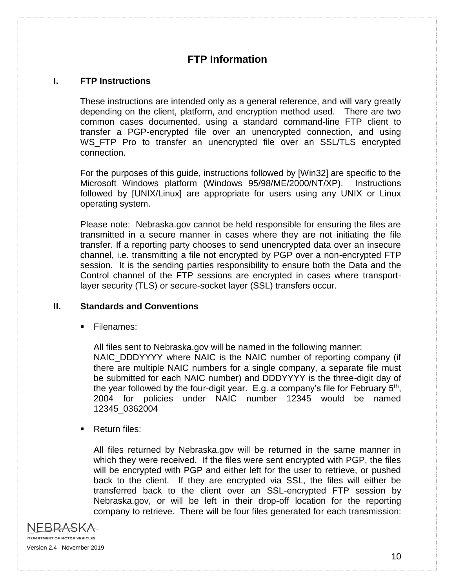# **FTP Information**

#### **I. FTP Instructions**

These instructions are intended only as a general reference, and will vary greatly depending on the client, platform, and encryption method used. There are two common cases documented, using a standard command-line FTP client to transfer a PGP-encrypted file over an unencrypted connection, and using WS FTP Pro to transfer an unencrypted file over an SSL/TLS encrypted connection.

For the purposes of this guide, instructions followed by [Win32] are specific to the Microsoft Windows platform (Windows 95/98/ME/2000/NT/XP). Instructions followed by [UNIX/Linux] are appropriate for users using any UNIX or Linux operating system.

Please note: Nebraska.gov cannot be held responsible for ensuring the files are transmitted in a secure manner in cases where they are not initiating the file transfer. If a reporting party chooses to send unencrypted data over an insecure channel, i.e. transmitting a file not encrypted by PGP over a non-encrypted FTP session. It is the sending parties responsibility to ensure both the Data and the Control channel of the FTP sessions are encrypted in cases where transportlayer security (TLS) or secure-socket layer (SSL) transfers occur.

#### **II. Standards and Conventions**

Filenames:

All files sent to Nebraska.gov will be named in the following manner: NAIC\_DDDYYYY where NAIC is the NAIC number of reporting company (if there are multiple NAIC numbers for a single company, a separate file must be submitted for each NAIC number) and DDDYYYY is the three-digit day of the year followed by the four-digit year. E.g. a company's file for February  $5<sup>th</sup>$ , 2004 for policies under NAIC number 12345 would be named 12345\_0362004

**Return files:** 

All files returned by Nebraska.gov will be returned in the same manner in which they were received. If the files were sent encrypted with PGP, the files will be encrypted with PGP and either left for the user to retrieve, or pushed back to the client. If they are encrypted via SSL, the files will either be transferred back to the client over an SSL-encrypted FTP session by Nebraska.gov, or will be left in their drop-off location for the reporting company to retrieve. There will be four files generated for each transmission:

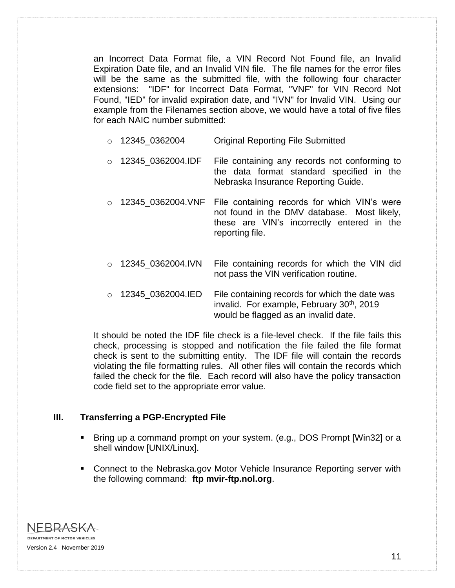an Incorrect Data Format file, a VIN Record Not Found file, an Invalid Expiration Date file, and an Invalid VIN file. The file names for the error files will be the same as the submitted file, with the following four character extensions: "IDF" for Incorrect Data Format, "VNF" for VIN Record Not Found, "IED" for invalid expiration date, and "IVN" for Invalid VIN. Using our example from the Filenames section above, we would have a total of five files for each NAIC number submitted:

- o 12345 0362004 Original Reporting File Submitted
- $\circ$  12345 0362004.IDF File containing any records not conforming to the data format standard specified in the Nebraska Insurance Reporting Guide.
- $\circ$  12345\_0362004.VNF File containing records for which VIN's were not found in the DMV database. Most likely, these are VIN's incorrectly entered in the reporting file.
- $\circ$  12345 0362004.IVN File containing records for which the VIN did not pass the VIN verification routine.
- $\circ$  12345 0362004.IED File containing records for which the date was invalid. For example, February 30<sup>th</sup>, 2019 would be flagged as an invalid date.

It should be noted the IDF file check is a file-level check. If the file fails this check, processing is stopped and notification the file failed the file format check is sent to the submitting entity. The IDF file will contain the records violating the file formatting rules. All other files will contain the records which failed the check for the file. Each record will also have the policy transaction code field set to the appropriate error value.

#### **III. Transferring a PGP-Encrypted File**

- Bring up a command prompt on your system. (e.g., DOS Prompt [Win32] or a shell window [UNIX/Linux].
- **Connect to the Nebraska.gov Motor Vehicle Insurance Reporting server with** the following command: **ftp mvir-ftp.nol.org**.

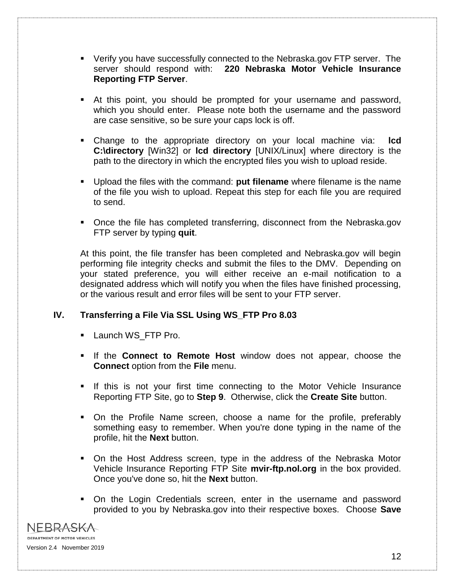- Verify you have successfully connected to the Nebraska.gov FTP server. The server should respond with: **220 Nebraska Motor Vehicle Insurance Reporting FTP Server**.
- At this point, you should be prompted for your username and password, which you should enter. Please note both the username and the password are case sensitive, so be sure your caps lock is off.
- Change to the appropriate directory on your local machine via: **lcd C:\directory** [Win32] or **lcd directory** [UNIX/Linux] where directory is the path to the directory in which the encrypted files you wish to upload reside.
- Upload the files with the command: **put filename** where filename is the name of the file you wish to upload. Repeat this step for each file you are required to send.
- Once the file has completed transferring, disconnect from the Nebraska.gov FTP server by typing **quit**.

At this point, the file transfer has been completed and Nebraska.gov will begin performing file integrity checks and submit the files to the DMV. Depending on your stated preference, you will either receive an e-mail notification to a designated address which will notify you when the files have finished processing, or the various result and error files will be sent to your FTP server.

#### **IV. Transferring a File Via SSL Using WS\_FTP Pro 8.03**

- **Launch WS\_FTP Pro.**
- If the **Connect to Remote Host** window does not appear, choose the **Connect** option from the **File** menu.
- If this is not your first time connecting to the Motor Vehicle Insurance Reporting FTP Site, go to **Step 9**. Otherwise, click the **Create Site** button.
- On the Profile Name screen, choose a name for the profile, preferably something easy to remember. When you're done typing in the name of the profile, hit the **Next** button.
- On the Host Address screen, type in the address of the Nebraska Motor Vehicle Insurance Reporting FTP Site **mvir-ftp.nol.org** in the box provided. Once you've done so, hit the **Next** button.
- On the Login Credentials screen, enter in the username and password provided to you by Nebraska.gov into their respective boxes. Choose **Save**